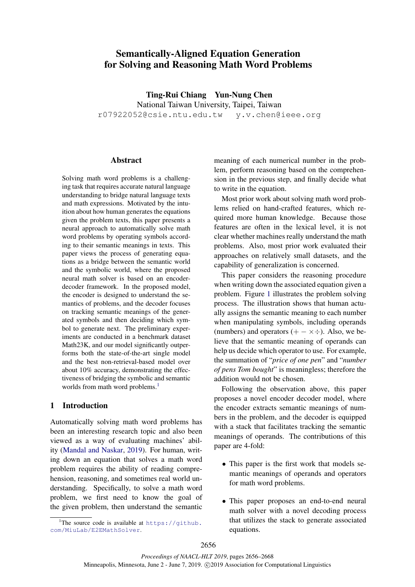# Semantically-Aligned Equation Generation for Solving and Reasoning Math Word Problems

Ting-Rui Chiang Yun-Nung Chen National Taiwan University, Taipei, Taiwan r07922052@csie.ntu.edu.tw y.v.chen@ieee.org

## **Abstract**

Solving math word problems is a challenging task that requires accurate natural language understanding to bridge natural language texts and math expressions. Motivated by the intuition about how human generates the equations given the problem texts, this paper presents a neural approach to automatically solve math word problems by operating symbols according to their semantic meanings in texts. This paper views the process of generating equations as a bridge between the semantic world and the symbolic world, where the proposed neural math solver is based on an encoderdecoder framework. In the proposed model, the encoder is designed to understand the semantics of problems, and the decoder focuses on tracking semantic meanings of the generated symbols and then deciding which symbol to generate next. The preliminary experiments are conducted in a benchmark dataset Math23K, and our model significantly outperforms both the state-of-the-art single model and the best non-retrieval-based model over about 10% accuracy, demonstrating the effectiveness of bridging the symbolic and semantic worlds from math word problems.<sup>1</sup>

## 1 Introduction

Automatically solving math word problems has been an interesting research topic and also been viewed as a way of evaluating machines' ability (Mandal and Naskar, 2019). For human, writing down an equation that solves a math word problem requires the ability of reading comprehension, reasoning, and sometimes real world understanding. Specifically, to solve a math word problem, we first need to know the goal of the given problem, then understand the semantic

meaning of each numerical number in the problem, perform reasoning based on the comprehension in the previous step, and finally decide what to write in the equation.

Most prior work about solving math word problems relied on hand-crafted features, which required more human knowledge. Because those features are often in the lexical level, it is not clear whether machines really understand the math problems. Also, most prior work evaluated their approaches on relatively small datasets, and the capability of generalization is concerned.

This paper considers the reasoning procedure when writing down the associated equation given a problem. Figure 1 illustrates the problem solving process. The illustration shows that human actually assigns the semantic meaning to each number when manipulating symbols, including operands (numbers) and operators  $(+- \times \div)$ . Also, we believe that the semantic meaning of operands can help us decide which operator to use. For example, the summation of "*price of one pen*" and "*number of pens Tom bought*" is meaningless; therefore the addition would not be chosen.

Following the observation above, this paper proposes a novel encoder decoder model, where the encoder extracts semantic meanings of numbers in the problem, and the decoder is equipped with a stack that facilitates tracking the semantic meanings of operands. The contributions of this paper are 4-fold:

- This paper is the first work that models semantic meanings of operands and operators for math word problems.
- This paper proposes an end-to-end neural math solver with a novel decoding process that utilizes the stack to generate associated equations.

<sup>&</sup>lt;sup>1</sup>The source code is available at  $https://github.$ com/MiuLab/E2EMathSolver.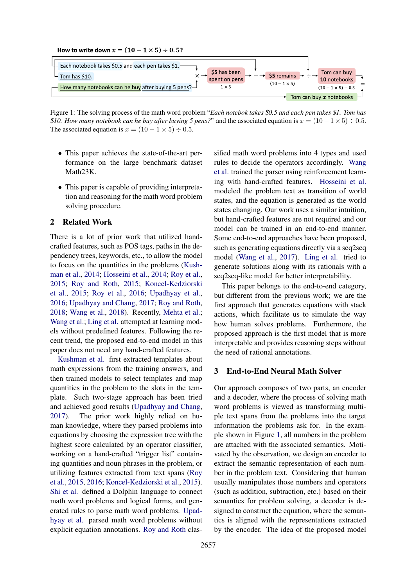



Figure 1: The solving process of the math word problem "*Each notebok takes* \$*0.5 and each pen takes* \$*1. Tom has* \$10. How many notebook can he buy after buying 5 pens?" and the associated equation is  $x = (10 - 1 \times 5) \div 0.5$ . The associated equation is  $x = (10 - 1 \times 5) \div 0.5$ .

- This paper achieves the state-of-the-art performance on the large benchmark dataset Math23K.
- This paper is capable of providing interpretation and reasoning for the math word problem solving procedure.

### 2 Related Work

There is a lot of prior work that utilized handcrafted features, such as POS tags, paths in the dependency trees, keywords, etc., to allow the model to focus on the quantities in the problems (Kushman et al., 2014; Hosseini et al., 2014; Roy et al., 2015; Roy and Roth, 2015; Koncel-Kedziorski et al., 2015; Roy et al., 2016; Upadhyay et al., 2016; Upadhyay and Chang, 2017; Roy and Roth, 2018; Wang et al., 2018). Recently, Mehta et al.; Wang et al.; Ling et al. attempted at learning models without predefined features. Following the recent trend, the proposed end-to-end model in this paper does not need any hand-crafted features.

Kushman et al. first extracted templates about math expressions from the training answers, and then trained models to select templates and map quantities in the problem to the slots in the template. Such two-stage approach has been tried and achieved good results (Upadhyay and Chang, 2017). The prior work highly relied on human knowledge, where they parsed problems into equations by choosing the expression tree with the highest score calculated by an operator classifier, working on a hand-crafted "trigger list" containing quantities and noun phrases in the problem, or utilizing features extracted from text spans (Roy et al., 2015, 2016; Koncel-Kedziorski et al., 2015). Shi et al. defined a Dolphin language to connect math word problems and logical forms, and generated rules to parse math word problems. Upadhyay et al. parsed math word problems without explicit equation annotations. Roy and Roth classified math word problems into 4 types and used rules to decide the operators accordingly. Wang et al. trained the parser using reinforcement learning with hand-crafted features. Hosseini et al. modeled the problem text as transition of world states, and the equation is generated as the world states changing. Our work uses a similar intuition, but hand-crafted features are not required and our model can be trained in an end-to-end manner. Some end-to-end approaches have been proposed, such as generating equations directly via a seq2seq model (Wang et al., 2017). Ling et al. tried to generate solutions along with its rationals with a seq2seq-like model for better interpretability.

This paper belongs to the end-to-end category, but different from the previous work; we are the first approach that generates equations with stack actions, which facilitate us to simulate the way how human solves problems. Furthermore, the proposed approach is the first model that is more interpretable and provides reasoning steps without the need of rational annotations.

## 3 End-to-End Neural Math Solver

Our approach composes of two parts, an encoder and a decoder, where the process of solving math word problems is viewed as transforming multiple text spans from the problems into the target information the problems ask for. In the example shown in Figure 1, all numbers in the problem are attached with the associated semantics. Motivated by the observation, we design an encoder to extract the semantic representation of each number in the problem text. Considering that human usually manipulates those numbers and operators (such as addition, subtraction, etc.) based on their semantics for problem solving, a decoder is designed to construct the equation, where the semantics is aligned with the representations extracted by the encoder. The idea of the proposed model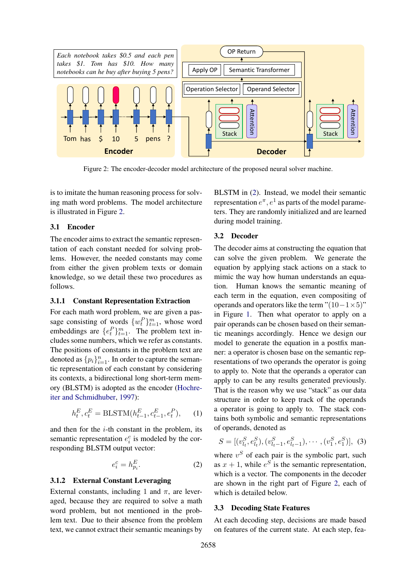

Figure 2: The encoder-decoder model architecture of the proposed neural solver machine.

is to imitate the human reasoning process for solving math word problems. The model architecture is illustrated in Figure 2.

## 3.1 Encoder

The encoder aims to extract the semantic representation of each constant needed for solving problems. However, the needed constants may come from either the given problem texts or domain knowledge, so we detail these two procedures as follows.

## 3.1.1 Constant Representation Extraction

For each math word problem, we are given a passage consisting of words  $\{w_t^P\}_{t=1}^m$ , whose word embeddings are  $\{e_t^P\}_{t=1}^m$ . The problem text includes some numbers, which we refer as constants. The positions of constants in the problem text are denoted as  $\{p_i\}_{i=1}^n$ . In order to capture the semantic representation of each constant by considering its contexts, a bidirectional long short-term memory (BLSTM) is adopted as the encoder (Hochreiter and Schmidhuber, 1997):

$$
h_t^E, c_t^E = \text{BLSTM}(h_{t-1}^E, c_{t-1}^E, e_t^P), \quad (1)
$$

and then for the  $i$ -th constant in the problem, its semantic representation  $e_i^c$  is modeled by the corresponding BLSTM output vector:

$$
e_i^c = h_{p_i}^E. \tag{2}
$$

### 3.1.2 External Constant Leveraging

External constants, including 1 and  $\pi$ , are leveraged, because they are required to solve a math word problem, but not mentioned in the problem text. Due to their absence from the problem text, we cannot extract their semantic meanings by

BLSTM in (2). Instead, we model their semantic representation  $e^{\pi}$ ,  $e^1$  as parts of the model parameters. They are randomly initialized and are learned during model training.

### 3.2 Decoder

The decoder aims at constructing the equation that can solve the given problem. We generate the equation by applying stack actions on a stack to mimic the way how human understands an equation. Human knows the semantic meaning of each term in the equation, even compositing of operands and operators like the term " $(10-1\times5)$ " in Figure 1. Then what operator to apply on a pair operands can be chosen based on their semantic meanings accordingly. Hence we design our model to generate the equation in a postfix manner: a operator is chosen base on the semantic representations of two operands the operator is going to apply to. Note that the operands a operator can apply to can be any results generated previously. That is the reason why we use "stack" as our data structure in order to keep track of the operands a operator is going to apply to. The stack contains both symbolic and semantic representations of operands, denoted as

 $S = [(v_{l_t}^S, e_{l_t}^S), (v_{l_t-1}^S, e_{l_t-1}^S), \cdots, (v_1^S, e_1^S)],$  (3)

where  $v^S$  of each pair is the symbolic part, such as  $x + 1$ , while  $e^{S}$  is the semantic representation, which is a vector. The components in the decoder are shown in the right part of Figure 2, each of which is detailed below.

### 3.3 Decoding State Features

At each decoding step, decisions are made based on features of the current state. At each step, fea-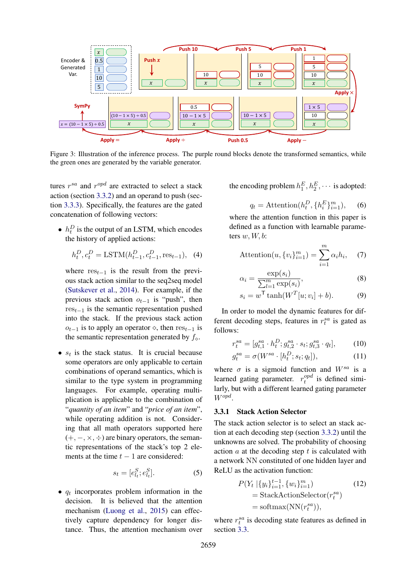

Figure 3: Illustration of the inference process. The purple round blocks denote the transformed semantics, while the green ones are generated by the variable generator.

tures  $r^{sa}$  and  $r^{opd}$  are extracted to select a stack action (section 3.3.2) and an operand to push (section 3.3.3). Specifically, the features are the gated concatenation of following vectors:

•  $h_t^D$  is the output of an LSTM, which encodes the history of applied actions:

$$
h_t^D, c_t^D = \text{LSTM}(h_{t-1}^D, c_{t-1}^D, \text{res}_{t-1}), \tag{4}
$$

where  $res_{t-1}$  is the result from the previous stack action similar to the seq2seq model (Sutskever et al., 2014). For example, if the previous stack action  $o_{t-1}$  is "push", then  $res_{t-1}$  is the semantic representation pushed into the stack. If the previous stack action  $o_{t-1}$  is to apply an operator  $\diamond$ , then res<sub>t−1</sub> is the semantic representation generated by  $f_{\diamond}$ .

•  $s_t$  is the stack status. It is crucial because some operators are only applicable to certain combinations of operand semantics, which is similar to the type system in programming languages. For example, operating multiplication is applicable to the combination of "*quantity of an item*" and "*price of an item*", while operating addition is not. Considering that all math operators supported here  $(+, -, \times, \div)$  are binary operators, the semantic representations of the stack's top 2 elements at the time  $t - 1$  are considered:

$$
s_t = [e_{l_t}^S; e_{l_t}^S].
$$
 (5)

 $\bullet$   $q_t$  incorporates problem information in the decision. It is believed that the attention mechanism (Luong et al., 2015) can effectively capture dependency for longer distance. Thus, the attention mechanism over

the encoding problem  $h_1^E, h_2^E, \cdots$  is adopted:

$$
q_t = \text{Attention}(h_t^D, \{h_i^E\}_{i=1}^m), \quad (6)
$$

where the attention function in this paper is defined as a function with learnable parameters  $w, W, b$ :

$$
\text{Attention}(u, \{v_i\}_{i=1}^m) = \sum_{i=1}^m \alpha_i h_i, \quad (7)
$$

$$
\alpha_i = \frac{\exp(s_i)}{\sum_{l=1}^m \exp(s_i)},\tag{8}
$$

$$
s_i = w^{\mathsf{T}} \tanh(W^T[u; v_i] + b). \tag{9}
$$

In order to model the dynamic features for different decoding steps, features in  $r_t^{sa}$  is gated as follows:

$$
r_t^{sa} = [g_{t,1}^{sa} \cdot h_t^D; g_{t,2}^{sa} \cdot s_t; g_{t,3}^{sa} \cdot q_t], \qquad (10)
$$

$$
g_t^{sa} = \sigma(W^{sa} \cdot [h_t^D; s_t; q_t]), \qquad (11)
$$

where  $\sigma$  is a sigmoid function and  $W^{sa}$  is a learned gating parameter.  $r_t^{opd}$  $t_t^{opa}$  is defined similarly, but with a different learned gating parameter Wopd .

### 3.3.1 Stack Action Selector

The stack action selector is to select an stack action at each decoding step (section 3.3.2) until the unknowns are solved. The probability of choosing action  $a$  at the decoding step  $t$  is calculated with a network NN constituted of one hidden layer and ReLU as the activation function:

$$
P(Y_t | \{y_i\}_{i=1}^{t-1}, \{w_i\}_{i=1}^m)
$$
\n
$$
= \text{StackActionSelect}(r_t^{sa})
$$
\n
$$
= \text{softmax}(\text{NN}(r_t^{sa})),
$$
\n(12)

where  $r_t^{sa}$  is decoding state features as defined in section 3.3.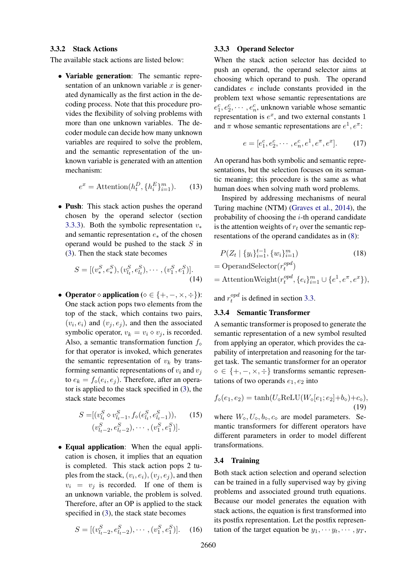### 3.3.2 Stack Actions

The available stack actions are listed below:

• Variable generation: The semantic representation of an unknown variable  $x$  is generated dynamically as the first action in the decoding process. Note that this procedure provides the flexibility of solving problems with more than one unknown variables. The decoder module can decide how many unknown variables are required to solve the problem, and the semantic representation of the unknown variable is generated with an attention mechanism:

$$
e^x = \text{Attention}(h_t^D, \{h_i^E\}_{i=1}^m). \tag{13}
$$

• Push: This stack action pushes the operand chosen by the operand selector (section 3.3.3). Both the symbolic representation  $v^*$ and semantic representation  $e_*$  of the chosen operand would be pushed to the stack S in (3). Then the stack state becomes

$$
S = [(v_*^S, e_*^S), (v_{l_t}^S, e_{l_t}^S), \cdots, (v_1^S, e_1^S)].
$$
\n(14)

• Operator  $\diamond$  application ( $\diamond \in \{+, -, \times, \div\}$ ): One stack action pops two elements from the top of the stack, which contains two pairs,  $(v_i, e_i)$  and  $(v_j, e_j)$ , and then the associated symbolic operator,  $v_k = v_i \diamond v_j$ , is recorded. Also, a semantic transformation function  $f_{\infty}$ for that operator is invoked, which generates the semantic representation of  $v_k$  by transforming semantic representations of  $v_i$  and  $v_j$ to  $e_k = f_\diamond(e_i, e_j)$ . Therefore, after an operator is applied to the stack specified in (3), the stack state becomes

$$
S = [(v_{l_t}^S \diamond v_{l_{t-1}}^S, f_\diamond(e_{l_t}^S, e_{l_{t-1}}^S)), \quad (15)
$$

$$
(v_{l_{t-2}}^S, e_{l_{t-2}}^S), \cdots, (v_1^S, e_1^S)].
$$

• Equal application: When the equal application is chosen, it implies that an equation is completed. This stack action pops 2 tuples from the stack,  $(v_i, e_i), (v_j, e_j)$ , and then  $v_i = v_j$  is recorded. If one of them is an unknown variable, the problem is solved. Therefore, after an OP is applied to the stack specified in (3), the stack state becomes

$$
S = [(v_{l_t-2}^S, e_{l_t-2}^S), \cdots, (v_1^S, e_1^S)]. \quad (16)
$$

### 3.3.3 Operand Selector

When the stack action selector has decided to push an operand, the operand selector aims at choosing which operand to push. The operand candidates e include constants provided in the problem text whose semantic representations are  $e_1^c, e_2^c, \cdots, e_n^c$ , unknown variable whose semantic representation is  $e^x$ , and two external constants 1 and  $\pi$  whose semantic representations are  $e^1, e^{\pi}$ .

$$
e = [e_1^c, e_2^c, \cdots, e_n^c, e^1, e^{\pi}, e^x].
$$
 (17)

An operand has both symbolic and semantic representations, but the selection focuses on its semantic meaning; this procedure is the same as what human does when solving math word problems.

Inspired by addressing mechanisms of neural Turing machine (NTM) (Graves et al., 2014), the probability of choosing the  $i$ -th operand candidate is the attention weights of  $r_t$  over the semantic representations of the operand candidates as in (8):

$$
P(Z_t \mid \{y_i\}_{i=1}^{t-1}, \{w_i\}_{i=1}^m) \tag{18}
$$

$$
= {\rm OperandSelector}(r_t^{opd})
$$

 $=$  AttentionWeight $(r_t^{opd})$  $\{e_i\}_{i=1}^m \cup \{e^1, e^{\pi}, e^x\},$ 

and  $r_t^{opd}$  $t_t^{opa}$  is defined in section 3.3.

## 3.3.4 Semantic Transformer

A semantic transformer is proposed to generate the semantic representation of a new symbol resulted from applying an operator, which provides the capability of interpretation and reasoning for the target task. The semantic transformer for an operator ∈ {+, −, ×, ÷} transforms semantic representations of two operands  $e_1, e_2$  into

$$
f_{\diamond}(e_1, e_2) = \tanh(U_{\diamond} \text{ReLU}(W_{\diamond}[e_1; e_2] + b_{\diamond}) + c_{\diamond}),
$$
\n(19)

where  $W_0$ ,  $U_0$ ,  $b_0$ ,  $c_0$  are model parameters. Semantic transformers for different operators have different parameters in order to model different transformations.

## 3.4 Training

Both stack action selection and operand selection can be trained in a fully supervised way by giving problems and associated ground truth equations. Because our model generates the equation with stack actions, the equation is first transformed into its postfix representation. Let the postfix representation of the target equation be  $y_1, \dots, y_t, \dots, y_T$ ,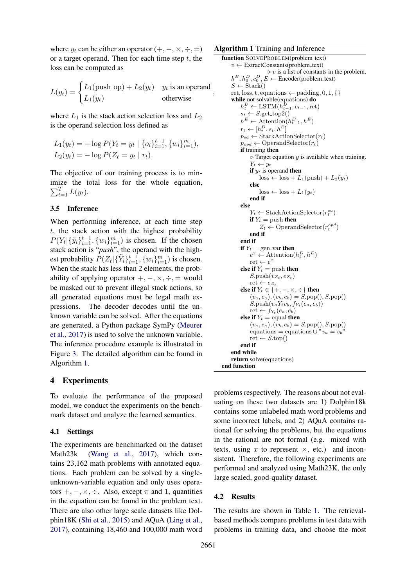where  $y_t$  can be either an operator  $(+, -, \times, \div, =)$ or a target operand. Then for each time step  $t$ , the loss can be computed as

$$
L(y_t) = \begin{cases} L_1(\text{push\_op}) + L_2(y_t) & y_t \text{ is an operand} \\ L_1(y_t) & \text{otherwise} \end{cases}
$$

where  $L_1$  is the stack action selection loss and  $L_2$ is the operand selection loss defined as

$$
L_1(y_t) = -\log P(Y_t = y_t \mid \{o_i\}_{i=1}^{t-1}, \{w_i\}_{i=1}^m),
$$
  

$$
L_2(y_t) = -\log P(Z_t = y_t \mid r_t).
$$

The objective of our training process is to minimize the total loss for the whole equation,  $\sum_{t=1}^{T} L(y_t)$ .

### 3.5 Inference

When performing inference, at each time step  $t$ , the stack action with the highest probability  $P(Y_t | {\{\tilde{y}_i\}_{i=1}^{t-1}, \{w_i\}_{i=1}^m})$  is chosen. If the chosen stack action is "*push*", the operand with the highest probability  $P(Z_t | \{\tilde{Y}_i\}_{i=1}^{t-1}, \{w_i\}_{i=1}^m)$  is chosen. When the stack has less than 2 elements, the probability of applying operator  $+,-, \times, \div, =$  would be masked out to prevent illegal stack actions, so all generated equations must be legal math expressions. The decoder decodes until the unknown variable can be solved. After the equations are generated, a Python package SymPy (Meurer et al., 2017) is used to solve the unknown variable. The inference procedure example is illustrated in Figure 3. The detailed algorithm can be found in Algorithm 1.

## 4 Experiments

To evaluate the performance of the proposed model, we conduct the experiments on the benchmark dataset and analyze the learned semantics.

#### 4.1 Settings

The experiments are benchmarked on the dataset Math23k (Wang et al., 2017), which contains 23,162 math problems with annotated equations. Each problem can be solved by a singleunknown-variable equation and only uses operators  $+, -, \times, \div$ . Also, except  $\pi$  and 1, quantities in the equation can be found in the problem text. There are also other large scale datasets like Dolphin18K (Shi et al., 2015) and AQuA (Ling et al., 2017), containing 18,460 and 100,000 math word

## Algorithm 1 Training and Inference

```
function SOLVEPROBLEM(problem_text)
     v \leftarrow ExtractConstants(problem_text)
                        \triangleright v is a list of constants in the problem.
     h^E, h_0^D, c_0^D, E \leftarrow Encoder(problem_text)
     S \leftarrow \text{Stack}()ret, loss, t, equations \leftarrow padding, 0, 1, {}
     while not solvable(equations) do
          h_t^D \leftarrow \text{LSTM}(h_{t-1}^D, c_{t-1}, \text{ret})s_t \leftarrow S.\text{get\_top2}()h^E \leftarrow Attention(h_{t-1}^D, h^E)r_t \leftarrow [h_t^D, s_t, h^E]p_{sa} \leftarrow \text{StackActionSelect}(r_t)p_{\text{opd}} \leftarrow \text{OperandSelector}(r_t)if training then
               \triangleright Target equation y is available when training.
               Y_t \leftarrow y_tif y_t is operand then
                    loss \leftarrow loss + L_1(push) + L_2(y_t)else
                    loss \leftarrow loss + L_1(y_t)end if
          else
               Y_t \leftarrow \text{StackActionSelect}(r_t^{sa})if Y_t = \text{push} then
                    Z_t \leftarrow OperandSelector(r_t^{opt})end if
          end if
          if Y_t = \text{gen-var} then
               e^x \leftarrow Attention(h_t^D, h^E)\mathrm{ret} \leftarrow e^xelse if Y_t = \text{push} then
               S.\text{push}(v_{Z_t}, e_{Z_t})\mathrm{ret} \leftarrow e_{Z_t}else if Y_t \in \{+, -, \times, \div\} then
               (v_a, e_a), (v_b, e_b) = S.\text{pop}(), S.\text{pop}()S.\text{push}(v_a Y_t v_b, f_{Y_t}(e_a, e_b))ret \leftarrow f_{Y_t}(e_a, e_b)else if Y_t = equal then
               (v_a, e_a), (\tilde{v}_b, e_b) = S.\text{pop}(), S.\text{pop}()equations = equations \cup "v_a = v_b"ret \leftarrow S.top()end if
     end while
     return solve(equations)
end function
```
problems respectively. The reasons about not evaluating on these two datasets are 1) Dolphin18k contains some unlabeled math word problems and some incorrect labels, and 2) AQuA contains rational for solving the problems, but the equations in the rational are not formal (e.g. mixed with texts, using x to represent  $\times$ , etc.) and inconsistent. Therefore, the following experiments are performed and analyzed using Math23K, the only large scaled, good-quality dataset.

#### 4.2 Results

The results are shown in Table 1. The retrievalbased methods compare problems in test data with problems in training data, and choose the most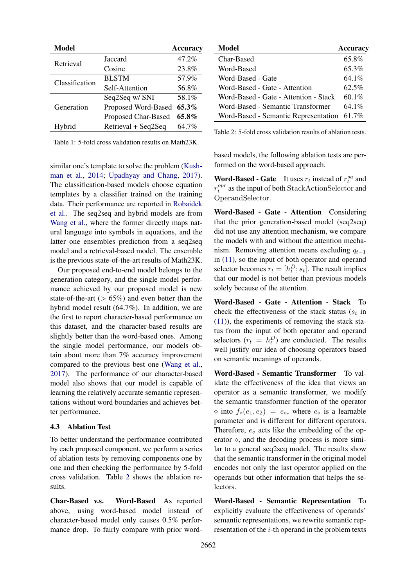| Model          |                     | <b>Accuracy</b> |
|----------------|---------------------|-----------------|
| Retrieval      | <b>Jaccard</b>      | 47.2%           |
|                | Cosine              | 23.8%           |
| Classification | <b>BLSTM</b>        | 57.9%           |
|                | Self-Attention      | 56.8%           |
| Generation     | Seq2Seq w/ SNI      | 58.1%           |
|                | Proposed Word-Based | 65.3%           |
|                | Proposed Char-Based | $65.8\%$        |
| Hybrid         | Retrieval + Seq2Seq | 64.7%           |

Table 1: 5-fold cross validation results on Math23K.

similar one's template to solve the problem (Kushman et al., 2014; Upadhyay and Chang, 2017). The classification-based models choose equation templates by a classifier trained on the training data. Their performance are reported in Robaidek et al.. The seq2seq and hybrid models are from Wang et al., where the former directly maps natural language into symbols in equations, and the latter one ensembles prediction from a seq2seq model and a retrieval-based model. The ensemble is the previous state-of-the-art results of Math23K.

Our proposed end-to-end model belongs to the generation category, and the single model performance achieved by our proposed model is new state-of-the-art ( $> 65\%$ ) and even better than the hybrid model result (64.7%). In addition, we are the first to report character-based performance on this dataset, and the character-based results are slightly better than the word-based ones. Among the single model performance, our models obtain about more than 7% accuracy improvement compared to the previous best one (Wang et al., 2017). The performance of our character-based model also shows that our model is capable of learning the relatively accurate semantic representations without word boundaries and achieves better performance.

### 4.3 Ablation Test

To better understand the performance contributed by each proposed component, we perform a series of ablation tests by removing components one by one and then checking the performance by 5-fold cross validation. Table 2 shows the ablation results.

Char-Based v.s. Word-Based As reported above, using word-based model instead of character-based model only causes 0.5% performance drop. To fairly compare with prior word-

| Model                                 | Accuracy |
|---------------------------------------|----------|
| Char-Based                            | 65.8%    |
| Word-Based                            | 65.3%    |
| Word-Based - Gate                     | 64.1%    |
| Word-Based - Gate - Attention         | 62.5%    |
| Word-Based - Gate - Attention - Stack | 60.1%    |
| Word-Based - Semantic Transformer     | 64.1%    |
| Word-Based - Semantic Representation  | 61.7%    |

Table 2: 5-fold cross validation results of ablation tests.

based models, the following ablation tests are performed on the word-based approach.

**Word-Based - Gate** It uses  $r_t$  instead of  $r_t^{sa}$  and  $r_t^{opr}$  $t_t^{opt}$  as the input of both StackActionSelector and OperandSelector.

Word-Based - Gate - Attention Considering that the prior generation-based model (seq2seq) did not use any attention mechanism, we compare the models with and without the attention mechanism. Removing attention means excluding  $q_{t-1}$ in (11), so the input of both operator and operand selector becomes  $r_t = [h_t^D; s_t]$ . The result implies that our model is not better than previous models solely because of the attention.

Word-Based - Gate - Attention - Stack To check the effectiveness of the stack status ( $s_t$  in (11)), the experiments of removing the stack status from the input of both operator and operand selectors  $(r_t = h_t^D)$  are conducted. The results well justify our idea of choosing operators based on semantic meanings of operands.

Word-Based - Semantic Transformer To validate the effectiveness of the idea that views an operator as a semantic transformer, we modify the semantic transformer function of the operator  $\circ$  into  $f_{\circ}(e_1, e_2) = e_{\circ}$ , where  $e_{\circ}$  is a learnable parameter and is different for different operators. Therefore,  $e_0$  acts like the embedding of the operator  $\diamond$ , and the decoding process is more similar to a general seq2seq model. The results show that the semantic transformer in the original model encodes not only the last operator applied on the operands but other information that helps the selectors.

Word-Based - Semantic Representation To explicitly evaluate the effectiveness of operands' semantic representations, we rewrite semantic representation of the *i*-th operand in the problem texts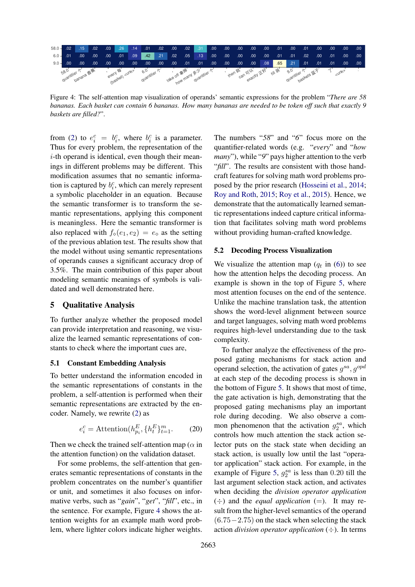

Figure 4: The self-attention map visualization of operands' semantic expressions for the problem "*There are 58 bananas. Each basket can contain 6 bananas. How many bananas are needed to be token off such that exactly 9 baskets are filled?*".

from (2) to  $e_i^c = b_i^c$ , where  $b_i^c$  is a parameter. Thus for every problem, the representation of the  $i$ -th operand is identical, even though their meanings in different problems may be different. This modification assumes that no semantic information is captured by  $b_i^c$ , which can merely represent a symbolic placeholder in an equation. Because the semantic transformer is to transform the semantic representations, applying this component is meaningless. Here the semantic transformer is also replaced with  $f_0(e_1, e_2) = e_0$  as the setting of the previous ablation test. The results show that the model without using semantic representations of operands causes a significant accuracy drop of 3.5%. The main contribution of this paper about modeling semantic meanings of symbols is validated and well demonstrated here.

## 5 Qualitative Analysis

To further analyze whether the proposed model can provide interpretation and reasoning, we visualize the learned semantic representations of constants to check where the important cues are,

#### 5.1 Constant Embedding Analysis

To better understand the information encoded in the semantic representations of constants in the problem, a self-attention is performed when their semantic representations are extracted by the encoder. Namely, we rewrite (2) as

$$
e_i^c = \text{Attention}(h_{p_i}^E, \{h_t^E\}_{t=1}^m. \tag{20}
$$

Then we check the trained self-attention map ( $\alpha$  in the attention function) on the validation dataset.

For some problems, the self-attention that generates semantic representations of constants in the problem concentrates on the number's quantifier or unit, and sometimes it also focuses on informative verbs, such as "*gain*", "*get*", "*fill*", etc., in the sentence. For example, Figure 4 shows the attention weights for an example math word problem, where lighter colors indicate higher weights.

The numbers "*58*" and "*6*" focus more on the quantifier-related words (e.g. "*every*" and "*how many*"), while "*9*" pays higher attention to the verb "*fill*". The results are consistent with those handcraft features for solving math word problems proposed by the prior research (Hosseini et al., 2014; Roy and Roth, 2015; Roy et al., 2015). Hence, we demonstrate that the automatically learned semantic representations indeed capture critical information that facilitates solving math word problems without providing human-crafted knowledge.

### 5.2 Decoding Process Visualization

We visualize the attention map  $(q_t$  in (6)) to see how the attention helps the decoding process. An example is shown in the top of Figure 5, where most attention focuses on the end of the sentence. Unlike the machine translation task, the attention shows the word-level alignment between source and target languages, solving math word problems requires high-level understanding due to the task complexity.

2688. Encoração e proposa interior e a considerado de mais de a considerado e a considerado e a considerado e a considerado e a considerado e a considerado e a considerado e a considerado e a considerado e a considerado e To further analyze the effectiveness of the proposed gating mechanisms for stack action and operand selection, the activation of gates  $g^{sa}$ ,  $g^{opd}$ at each step of the decoding process is shown in the bottom of Figure 5. It shows that most of time, the gate activation is high, demonstrating that the proposed gating mechanisms play an important role during decoding. We also observe a common phenomenon that the activation  $g_2^{sa}$ , which controls how much attention the stack action selector puts on the stack state when deciding an stack action, is usually low until the last "operator application" stack action. For example, in the example of Figure 5,  $g_2^{sa}$  is less than 0.20 till the last argument selection stack action, and activates when deciding the *division operator application*  $(\div)$  and the *equal application* (=). It may result from the higher-level semantics of the operand  $(6.75-2.75)$  on the stack when selecting the stack action *division operator application* (÷). In terms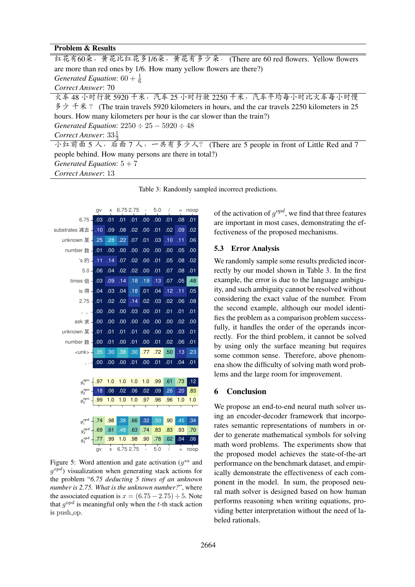### Problem & Results

| 红花有60朵, 黄花比红花多1/6朵, 黄花有多少朵. (There are 60 red flowers. Yellow flowers                                                                          |  |  |
|------------------------------------------------------------------------------------------------------------------------------------------------|--|--|
| are more than red ones by 1/6. How many yellow flowers are there?)                                                                             |  |  |
| Generated Equation: $60 + \frac{1}{6}$                                                                                                         |  |  |
| Correct Answer: 70                                                                                                                             |  |  |
| 火车 48 小时行驶 5920 千米,汽车 25 小时行驶 2250 千米,汽车平均每小时比火车每小时慢                                                                                           |  |  |
| $\frac{3}{5}$ $\frac{1}{5}$ $\frac{1}{5}$ $\frac{1}{5}$ (The train travels 5920 kilometers in hours, and the car travels 2250 kilometers in 25 |  |  |
| hours. How many kilometers per hour is the car slower than the train?)                                                                         |  |  |
| Generated Equation: $2250 \div 25 - 5920 \div 48$                                                                                              |  |  |
| Correct Answer: $33\frac{1}{2}$                                                                                                                |  |  |
| 小红前面5人,后面7人,一共有多少人? (There are 5 people in front of Little Red and 7                                                                           |  |  |
| people behind. How many persons are there in total?)                                                                                           |  |  |
| Generated Equation: $5+7$                                                                                                                      |  |  |

*Correct Answer*: 13

Table 3: Randomly sampled incorrect predictions.



Figure 5: Word attention and gate activation  $(g^{sa}$  and  $g^{opd}$ ) visualization when generating stack actions for the problem "*6.75 deducting 5 times of an unknown number is 2.75. What is the unknown number?*", where the associated equation is  $x = (6.75 - 2.75) \div 5$ . Note that  $g^{opd}$  is meaningful only when the t-th stack action is push op.

of the activation of  $g^{opd}$ , we find that three features are important in most cases, demonstrating the effectiveness of the proposed mechanisms.

### 5.3 Error Analysis

We randomly sample some results predicted incorrectly by our model shown in Table 3. In the first example, the error is due to the language ambiguity, and such ambiguity cannot be resolved without considering the exact value of the number. From the second example, although our model identifies the problem as a comparison problem successfully, it handles the order of the operands incorrectly. For the third problem, it cannot be solved by using only the surface meaning but requires some common sense. Therefore, above phenomena show the difficulty of solving math word problems and the large room for improvement.

#### 6 Conclusion

We propose an end-to-end neural math solver using an encoder-decoder framework that incorporates semantic representations of numbers in order to generate mathematical symbols for solving math word problems. The experiments show that the proposed model achieves the state-of-the-art performance on the benchmark dataset, and empirically demonstrate the effectiveness of each component in the model. In sum, the proposed neural math solver is designed based on how human performs reasoning when writing equations, providing better interpretation without the need of labeled rationals.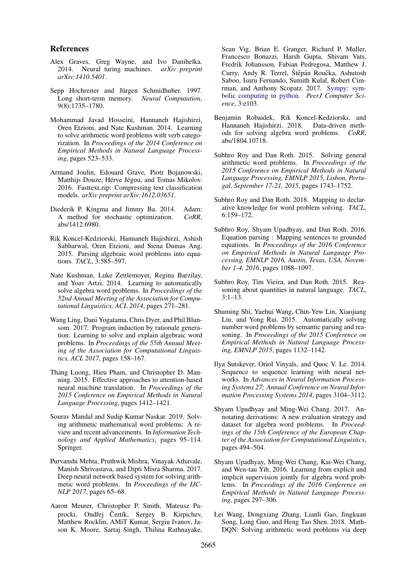### References

- Alex Graves, Greg Wayne, and Ivo Danihelka. 2014. Neural turing machines. *arXiv preprint arXiv:1410.5401*.
- Sepp Hochreiter and Jürgen Schmidhuber. 1997. Long short-term memory. *Neural Computation*, 9(8):1735–1780.
- Mohammad Javad Hosseini, Hannaneh Hajishirzi, Oren Etzioni, and Nate Kushman. 2014. Learning to solve arithmetic word problems with verb categorization. In *Proceedings of the 2014 Conference on Empirical Methods in Natural Language Processing*, pages 523–533.
- Armand Joulin, Edouard Grave, Piotr Bojanowski, Matthijs Douze, Hérve Jégou, and Tomas Mikolov. 2016. Fasttext.zip: Compressing text classification models. *arXiv preprint arXiv:1612.03651*.
- Diederik P. Kingma and Jimmy Ba. 2014. Adam:<br>A method for stochastic optimization. *CoRR*, A method for stochastic optimization. abs/1412.6980.
- Rik Koncel-Kedziorski, Hannaneh Hajishirzi, Ashish Sabharwal, Oren Etzioni, and Siena Dumas Ang. 2015. Parsing algebraic word problems into equations. *TACL*, 3:585–597.
- Nate Kushman, Luke Zettlemoyer, Regina Barzilay, and Yoav Artzi. 2014. Learning to automatically solve algebra word problems. In *Proceedings of the 52nd Annual Meeting of the Association for Computational Linguistics, ACL 2014*, pages 271–281.
- Wang Ling, Dani Yogatama, Chris Dyer, and Phil Blunsom. 2017. Program induction by rationale generation: Learning to solve and explain algebraic word problems. In *Proceedings of the 55th Annual Meeting of the Association for Computational Linguistics, ACL 2017*, pages 158–167.
- Thang Luong, Hieu Pham, and Christopher D. Manning. 2015. Effective approaches to attention-based neural machine translation. In *Proceedings of the 2015 Conference on Empirical Methods in Natural Language Processing*, pages 1412–1421.
- Sourav Mandal and Sudip Kumar Naskar. 2019. Solving arithmetic mathematical word problems: A review and recent advancements. In *Information Technology and Applied Mathematics*, pages 95–114. Springer.
- Purvanshi Mehta, Pruthwik Mishra, Vinayak Athavale, Manish Shrivastava, and Dipti Misra Sharma. 2017. Deep neural network based system for solving arithmetic word problems. In *Proceedings of the IJC-NLP 2017*, pages 65–68.
- Aaron Meurer, Christopher P. Smith, Mateusz Paprocki, Ondřej Čertík, Sergey B. Kirpichev, Matthew Rocklin, AMiT Kumar, Sergiu Ivanov, Jason K. Moore, Sartaj Singh, Thilina Rathnayake,

Sean Vig, Brian E. Granger, Richard P. Muller, Francesco Bonazzi, Harsh Gupta, Shivam Vats, Fredrik Johansson, Fabian Pedregosa, Matthew J. Curry, Andy R. Terrel, Štěpán Roučka, Ashutosh Saboo, Isuru Fernando, Sumith Kulal, Robert Cimrman, and Anthony Scopatz. 2017. Sympy: symbolic computing in python. *PeerJ Computer Science*, 3:e103.

- Benjamin Robaidek, Rik Koncel-Kedziorski, and Hannaneh Hajishirzi. 2018. ods for solving algebra word problems. *CoRR*, abs/1804.10718.
- Subhro Roy and Dan Roth. 2015. Solving general arithmetic word problems. In *Proceedings of the 2015 Conference on Empirical Methods in Natural Language Processing, EMNLP 2015, Lisbon, Portugal, September 17-21, 2015*, pages 1743–1752.
- Subhro Roy and Dan Roth. 2018. Mapping to declarative knowledge for word problem solving. *TACL*, 6:159–172.
- Subhro Roy, Shyam Upadhyay, and Dan Roth. 2016. Equation parsing : Mapping sentences to grounded equations. In *Proceedings of the 2016 Conference on Empirical Methods in Natural Language Processing, EMNLP 2016, Austin, Texas, USA, November 1-4, 2016*, pages 1088–1097.
- Subhro Roy, Tim Vieira, and Dan Roth. 2015. Reasoning about quantities in natural language. *TACL*,  $3:1-13.$
- Shuming Shi, Yuehui Wang, Chin-Yew Lin, Xiaojiang Liu, and Yong Rui. 2015. Automatically solving number word problems by semantic parsing and reasoning. In *Proceedings of the 2015 Conference on Empirical Methods in Natural Language Processing, EMNLP 2015*, pages 1132–1142.
- Ilya Sutskever, Oriol Vinyals, and Quoc V. Le. 2014. Sequence to sequence learning with neural networks. In *Advances in Neural Information Processing Systems 27: Annual Conference on Neural Information Processing Systems 2014*, pages 3104–3112.
- Shyam Upadhyay and Ming-Wei Chang. 2017. Annotating derivations: A new evaluation strategy and dataset for algebra word problems. In *Proceedings of the 15th Conference of the European Chapter of the Association for Computational Linguistics*, pages 494–504.
- Shyam Upadhyay, Ming-Wei Chang, Kai-Wei Chang, and Wen-tau Yih. 2016. Learning from explicit and implicit supervision jointly for algebra word problems. In *Proceedings of the 2016 Conference on Empirical Methods in Natural Language Processing*, pages 297–306.
- Lei Wang, Dongxiang Zhang, Lianli Gao, Jingkuan Song, Long Guo, and Heng Tao Shen. 2018. Math-DQN: Solving arithmetic word problems via deep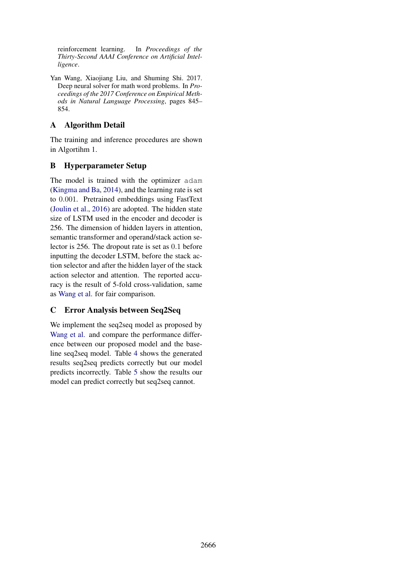reinforcement learning. In *Proceedings of the Thirty-Second AAAI Conference on Artificial Intelligence*.

Yan Wang, Xiaojiang Liu, and Shuming Shi. 2017. Deep neural solver for math word problems. In *Proceedings of the 2017 Conference on Empirical Methods in Natural Language Processing*, pages 845– 854.

# A Algorithm Detail

The training and inference procedures are shown in Algortihm 1.

## B Hyperparameter Setup

The model is trained with the optimizer adam (Kingma and Ba, 2014), and the learning rate is set to 0.001. Pretrained embeddings using FastText (Joulin et al., 2016) are adopted. The hidden state size of LSTM used in the encoder and decoder is 256. The dimension of hidden layers in attention, semantic transformer and operand/stack action selector is 256. The dropout rate is set as 0.1 before inputting the decoder LSTM, before the stack action selector and after the hidden layer of the stack action selector and attention. The reported accuracy is the result of 5-fold cross-validation, same as Wang et al. for fair comparison.

## C Error Analysis between Seq2Seq

We implement the seq2seq model as proposed by Wang et al. and compare the performance difference between our proposed model and the baseline seq2seq model. Table 4 shows the generated results seq2seq predicts correctly but our model predicts incorrectly. Table 5 show the results our model can predict correctly but seq2seq cannot.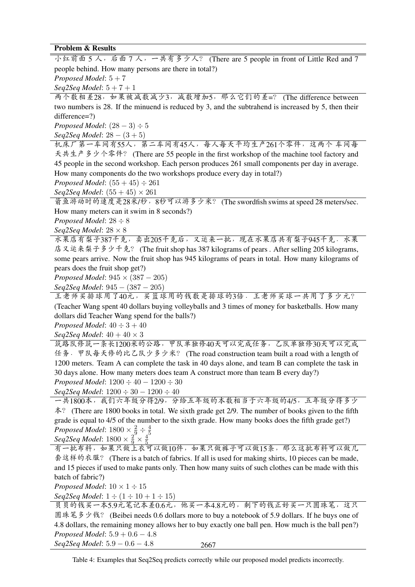## Problem & Results

小红前面 5 人, 后面 7 人, 一共有多少人? (There are 5 people in front of Little Red and 7 people behind. How many persons are there in total?) *Proposed Model*: 5 + 7

*Seq2Seq Model*: 5 + 7 + 1

两个数相差28,如果被减数减少3,减数增加5,那么它们的差=? (The difference between two numbers is 28. If the minuend is reduced by 3, and the subtrahend is increased by 5, then their difference=?)

*Proposed Model*:  $(28 − 3) ÷ 5$ 

*Seq2Seq Model*: 28 − (3 + 5)

<sup>机</sup>床厂第一车间有55人,第二车间有45人,每人每天平均生产261个零件,这两个 <sup>车</sup>间每 天共生产多少个零件? (There are 55 people in the first workshop of the machine tool factory and 45 people in the second workshop. Each person produces 261 small components per day in average. How many components do the two workshops produce every day in total?)

*Proposed Model*:  $(55 + 45) \div 261$ 

*Sea2Seq Model*:  $(55 + 45) \times 261$ 

箭鱼游动时的速度是28米/秒,8秒可以游多少米? (The swordfish swims at speed 28 meters/sec. How many meters can it swim in 8 seconds?)

*Proposed Model*: 28 ÷ 8

*Seq2Seq Model*: 28 × 8

水果店有梨子387千克,卖出205千克后,又运来一批,现在水果店共有梨子945千克.水果 <sup>店</sup>又运来梨子多少千克? (The fruit shop has 387 kilograms of pears . After selling 205 kilograms, some pears arrive. Now the fruit shop has 945 kilograms of pears in total. How many kilograms of pears does the fruit shop get?)

*Proposed Model*: 945 × (387 − 205)

*Seq2Seq Model*: 945 − (387 − 205)

<sup>王</sup>老师买排球用了40元,买篮球用的钱数是排球的3倍.王老师买球一共用了多少元? (Teacher Wang spent 40 dollars buying volleyballs and 3 times of money for basketballs. How many dollars did Teacher Wang spend for the balls?)

*Proposed Model*: 40 ÷ 3 + 40

*Seq2Seq Model*: 40 + 40 × 3

筑路队修筑一条长1200米的公路,甲队单独修40天可以完成任务,乙队单独修30天可以完成 <sup>任</sup>务.甲队每天修的比乙队少多少米? (The road construction team built a road with a length of 1200 meters. Team A can complete the task in 40 days alone, and team B can complete the task in 30 days alone. How many meters does team A construct more than team B every day?) *Proposed Model*: 1200 ÷ 40 − 1200 ÷ 30

*Seq2Seq Model*: 1200 ÷ 30 − 1200 ÷ 40

<sup>一</sup>共1800本,我们六年级分得2/9,分给五年级的本数相当于六年级的4/5,五年级分得多少 本? (There are 1800 books in total. We sixth grade get 2/9. The number of books given to the fifth grade is equal to 4/5 of the number to the sixth grade. How many books does the fifth grade get?) *Proposed Model*:  $1800 \times \frac{2}{9} \div \frac{4}{5}$ 5

 $Seq2Seq$  *Model*:  $1800 \times \frac{2}{9} \times \frac{4}{5}$ 5

<sup>有</sup>一批布料,如果只做上衣可以做10件,如果只做裤子可以做15条,那么这批布料可以做<sup>几</sup> 套这样的衣服? (There is a batch of fabrics. If all is used for making shirts, 10 pieces can be made, and 15 pieces if used to make pants only. Then how many suits of such clothes can be made with this batch of fabric?)

*Proposed Model*:  $10 \times 1 \div 15$ 

*Seq2Seq Model*:  $1 \div (1 \div 10 + 1 \div 15)$ 

2667 贝贝的钱买一本5.9元笔记本差0.6元,他买一本4.8元的,剩下的钱正好买一只圆珠笔,这只 <sup>圆</sup>珠笔多少钱? (Beibei needs 0.6 dollars more to buy a notebook of 5.9 dollars. If he buys one of 4.8 dollars, the remaining money allows her to buy exactly one ball pen. How much is the ball pen?) *Proposed Model*: 5.9 + 0.6 − 4.8 *Seq2Seq Model*: 5.9 − 0.6 − 4.8

Table 4: Examples that Seq2Seq predicts correctly while our proposed model predicts incorrectly.